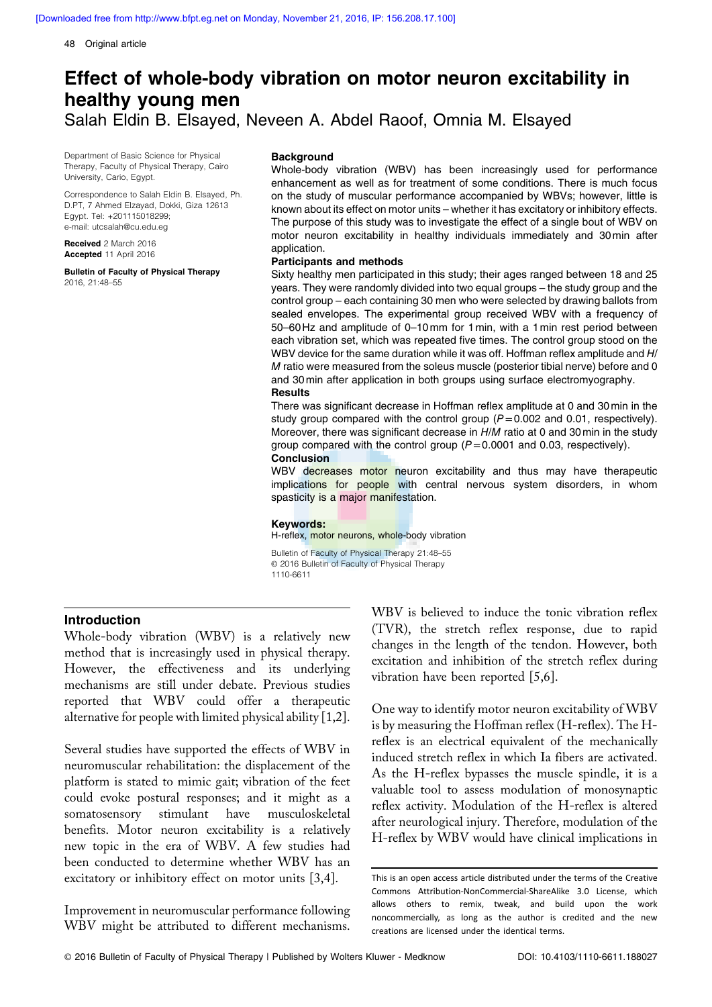48 Original article

# Effect of whole-body vibration on motor neuron excitability in healthy young men Salah Eldin B. Elsayed, Neveen A. Abdel Raoof, Omnia M. Elsayed

Department of Basic Science for Physical Therapy, Faculty of Physical Therapy, Cairo University, Cario, Egypt.

Correspondence to Salah Eldin B. Elsayed, Ph. D.PT, 7 Ahmed Elzayad, Dokki, Giza 12613 Egypt. Tel: +201115018299; [e-mail: utcsalah@cu.edu.eg](mailto:e-mail: utcsalah@cu.edu.eg)

Received 2 March 2016 Accepted 11 April 2016

Bulletin of Faculty of Physical Therapy 2016, 21:48–55

#### **Background**

Whole-body vibration (WBV) has been increasingly used for performance enhancement as well as for treatment of some conditions. There is much focus on the study of muscular performance accompanied by WBVs; however, little is known about its effect on motor units – whether it has excitatory or inhibitory effects. The purpose of this study was to investigate the effect of a single bout of WBV on motor neuron excitability in healthy individuals immediately and 30min after application.

#### Participants and methods

Sixty healthy men participated in this study; their ages ranged between 18 and 25 years. They were randomly divided into two equal groups – the study group and the control group – each containing 30 men who were selected by drawing ballots from sealed envelopes. The experimental group received WBV with a frequency of 50–60 Hz and amplitude of 0–10mm for 1min, with a 1min rest period between each vibration set, which was repeated five times. The control group stood on the WBV device for the same duration while it was off. Hoffman reflex amplitude and H/ M ratio were measured from the soleus muscle (posterior tibial nerve) before and 0 and 30min after application in both groups using surface electromyography.

#### **Results**

There was significant decrease in Hoffman reflex amplitude at 0 and 30min in the study group compared with the control group  $(P=0.002$  and 0.01, respectively). Moreover, there was significant decrease in H/M ratio at 0 and 30min in the study group compared with the control group  $(P=0.0001$  and 0.03, respectively). **Conclusion** 

WBV decreases motor neuron excitability and thus may have therapeutic implications for people with central nervous system disorders, in whom spasticity is a major manifestation.

#### Keywords:

H-reflex, motor neurons, whole-body vibration

Bulletin of Faculty of Physical Therapy 21:48–55 © 2016 Bulletin of Faculty of Physical Therapy 1110-6611

## Introduction

Whole-body vibration (WBV) is a relatively new method that is increasingly used in physical therapy. However, the effectiveness and its underlying mechanisms are still under debate. Previous studies reported that WBV could offer a therapeutic alternative for people with limited physical ability [1,2].

Several studies have supported the effects of WBV in neuromuscular rehabilitation: the displacement of the platform is stated to mimic gait; vibration of the feet could evoke postural responses; and it might as a somatosensory stimulant have musculoskeletal benefits. Motor neuron excitability is a relatively new topic in the era of WBV. A few studies had been conducted to determine whether WBV has an excitatory or inhibitory effect on motor units [3,4].

Improvement in neuromuscular performance following WBV might be attributed to different mechanisms.

WBV is believed to induce the tonic vibration reflex (TVR), the stretch reflex response, due to rapid changes in the length of the tendon. However, both excitation and inhibition of the stretch reflex during vibration have been reported [5,6].

One way to identify motor neuron excitability of WBV is by measuring the Hoffman reflex (H-reflex). The Hreflex is an electrical equivalent of the mechanically induced stretch reflex in which Ia fibers are activated. As the H-reflex bypasses the muscle spindle, it is a valuable tool to assess modulation of monosynaptic reflex activity. Modulation of the H-reflex is altered after neurological injury. Therefore, modulation of the H-reflex by WBV would have clinical implications in

This is an open access article distributed under the terms of the Creative Commons Attribution-NonCommercial-ShareAlike 3.0 License, which allows others to remix, tweak, and build upon the work noncommercially, as long as the author is credited and the new creations are licensed under the identical terms.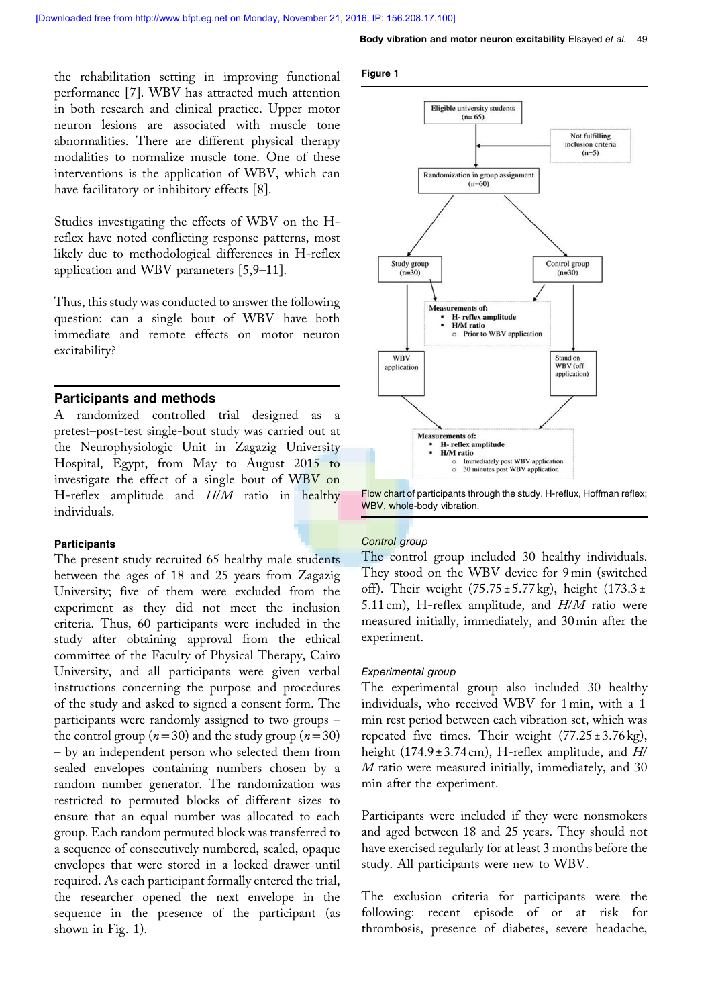the rehabilitation setting in improving functional performance [7]. WBV has attracted much attention in both research and clinical practice. Upper motor neuron lesions are associated with muscle tone abnormalities. There are different physical therapy modalities to normalize muscle tone. One of these interventions is the application of WBV, which can have facilitatory or inhibitory effects [8].

Studies investigating the effects of WBV on the Hreflex have noted conflicting response patterns, most likely due to methodological differences in H-reflex application and WBV parameters [5,9–11].

Thus, this study was conducted to answer the following question: can a single bout of WBV have both immediate and remote effects on motor neuron excitability?

## Participants and methods

A randomized controlled trial designed as pretest–post-test single-bout study was carried out at the Neurophysiologic Unit in Zagazig University Hospital, Egypt, from May to August 2015 to investigate the effect of a single bout of WBV on H-reflex amplitude and  $H/M$  ratio in healthy individuals.

## **Participants**

The present study recruited 65 healthy male students between the ages of 18 and 25 years from Zagazig University; five of them were excluded from the experiment as they did not meet the inclusion criteria. Thus, 60 participants were included in the study after obtaining approval from the ethical committee of the Faculty of Physical Therapy, Cairo University, and all participants were given verbal instructions concerning the purpose and procedures of the study and asked to signed a consent form. The participants were randomly assigned to two groups – the control group ( $n=30$ ) and the study group ( $n=30$ ) – by an independent person who selected them from sealed envelopes containing numbers chosen by a random number generator. The randomization was restricted to permuted blocks of different sizes to ensure that an equal number was allocated to each group. Each random permuted block was transferred to a sequence of consecutively numbered, sealed, opaque envelopes that were stored in a locked drawer until required. As each participant formally entered the trial, the researcher opened the next envelope in the sequence in the presence of the participant (as shown in Fig. 1).

#### Figure 1



Flow chart of participants through the study. H-reflux, Hoffman reflex; WBV, whole-body vibration.

## Control group

The control group included 30 healthy individuals. They stood on the WBV device for 9min (switched off). Their weight  $(75.75 \pm 5.77 \text{ kg})$ , height  $(173.3 \pm 1.75 \text{ kg})$ 5.11 cm), H-reflex amplitude, and  $H/M$  ratio were measured initially, immediately, and 30min after the experiment.

## Experimental group

The experimental group also included 30 healthy individuals, who received WBV for 1min, with a 1 min rest period between each vibration set, which was repeated five times. Their weight  $(77.25 \pm 3.76 \text{ kg})$ , height (174.9 ± 3.74 cm), H-reflex amplitude, and  $H/$ M ratio were measured initially, immediately, and 30 min after the experiment.

Participants were included if they were nonsmokers and aged between 18 and 25 years. They should not have exercised regularly for at least 3 months before the study. All participants were new to WBV.

The exclusion criteria for participants were the following: recent episode of or at risk for thrombosis, presence of diabetes, severe headache,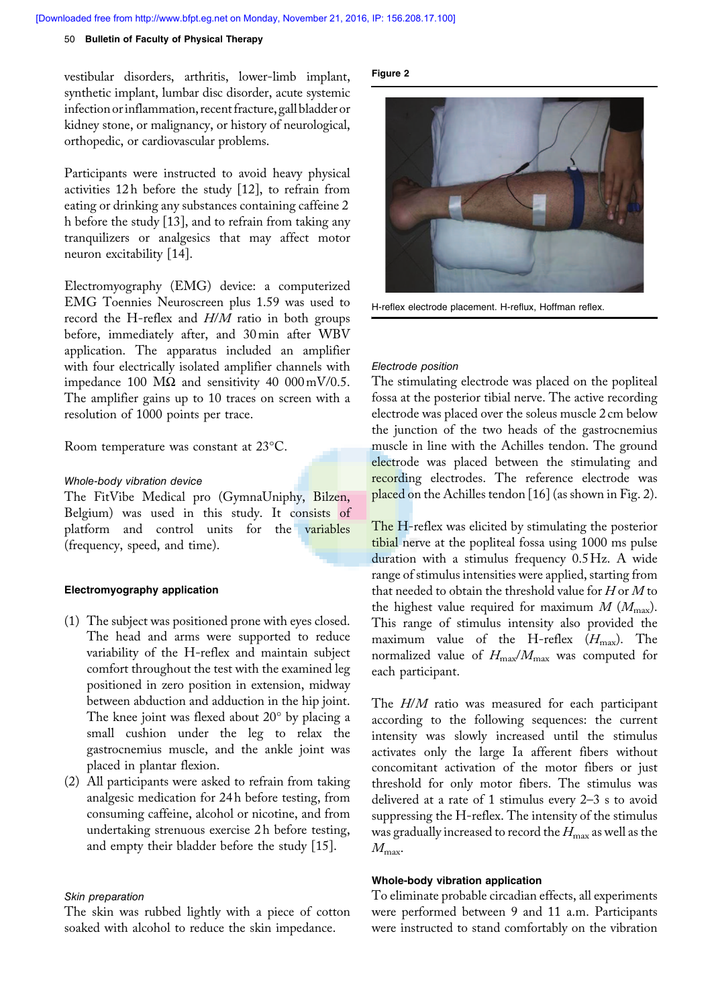#### 50 Bulletin of Faculty of Physical Therapy

vestibular disorders, arthritis, lower-limb implant, synthetic implant, lumbar disc disorder, acute systemic infectionorinflammation, recent fracture, gall bladder or kidney stone, or malignancy, or history of neurological, orthopedic, or cardiovascular problems.

Participants were instructed to avoid heavy physical activities 12 h before the study [12], to refrain from eating or drinking any substances containing caffeine 2 h before the study [13], and to refrain from taking any tranquilizers or analgesics that may affect motor neuron excitability [14].

Electromyography (EMG) device: a computerized EMG Toennies Neuroscreen plus 1.59 was used to record the H-reflex and  $H/M$  ratio in both groups before, immediately after, and 30min after WBV application. The apparatus included an amplifier with four electrically isolated amplifier channels with impedance 100 MΩ and sensitivity 40 000mV/0.5. The amplifier gains up to 10 traces on screen with a resolution of 1000 points per trace.

Room temperature was constant at 23°C.

#### Whole-body vibration device

The FitVibe Medical pro (GymnaUniphy, Bilzen, Belgium) was used in this study. It consists of platform and control units for the variables (frequency, speed, and time).

#### Electromyography application

- (1) The subject was positioned prone with eyes closed. The head and arms were supported to reduce variability of the H-reflex and maintain subject comfort throughout the test with the examined leg positioned in zero position in extension, midway between abduction and adduction in the hip joint. The knee joint was flexed about 20° by placing a small cushion under the leg to relax the gastrocnemius muscle, and the ankle joint was placed in plantar flexion.
- (2) All participants were asked to refrain from taking analgesic medication for 24 h before testing, from consuming caffeine, alcohol or nicotine, and from undertaking strenuous exercise 2 h before testing, and empty their bladder before the study [15].

## Skin preparation

The skin was rubbed lightly with a piece of cotton soaked with alcohol to reduce the skin impedance.

## Figure 2



H-reflex electrode placement. H-reflux, Hoffman reflex.

#### Electrode position

The stimulating electrode was placed on the popliteal fossa at the posterior tibial nerve. The active recording electrode was placed over the soleus muscle 2 cm below the junction of the two heads of the gastrocnemius muscle in line with the Achilles tendon. The ground electrode was placed between the stimulating and recording electrodes. The reference electrode was placed on the Achilles tendon [16] (as shown in Fig. 2).

The H-reflex was elicited by stimulating the posterior tibial nerve at the popliteal fossa using 1000 ms pulse duration with a stimulus frequency 0.5Hz. A wide range of stimulus intensities were applied, starting from that needed to obtain the threshold value for  $H$  or  $M$  to the highest value required for maximum  $M (M_{\text{max}})$ . This range of stimulus intensity also provided the maximum value of the H-reflex  $(H_{\text{max}})$ . The normalized value of  $H_{\text{max}}/M_{\text{max}}$  was computed for each participant.

The H/M ratio was measured for each participant according to the following sequences: the current intensity was slowly increased until the stimulus activates only the large Ia afferent fibers without concomitant activation of the motor fibers or just threshold for only motor fibers. The stimulus was delivered at a rate of 1 stimulus every 2–3 s to avoid suppressing the H-reflex. The intensity of the stimulus was gradually increased to record the  $H_{\text{max}}$  as well as the  $M_{\rm max}$ .

## Whole-body vibration application

To eliminate probable circadian effects, all experiments were performed between 9 and 11 a.m. Participants were instructed to stand comfortably on the vibration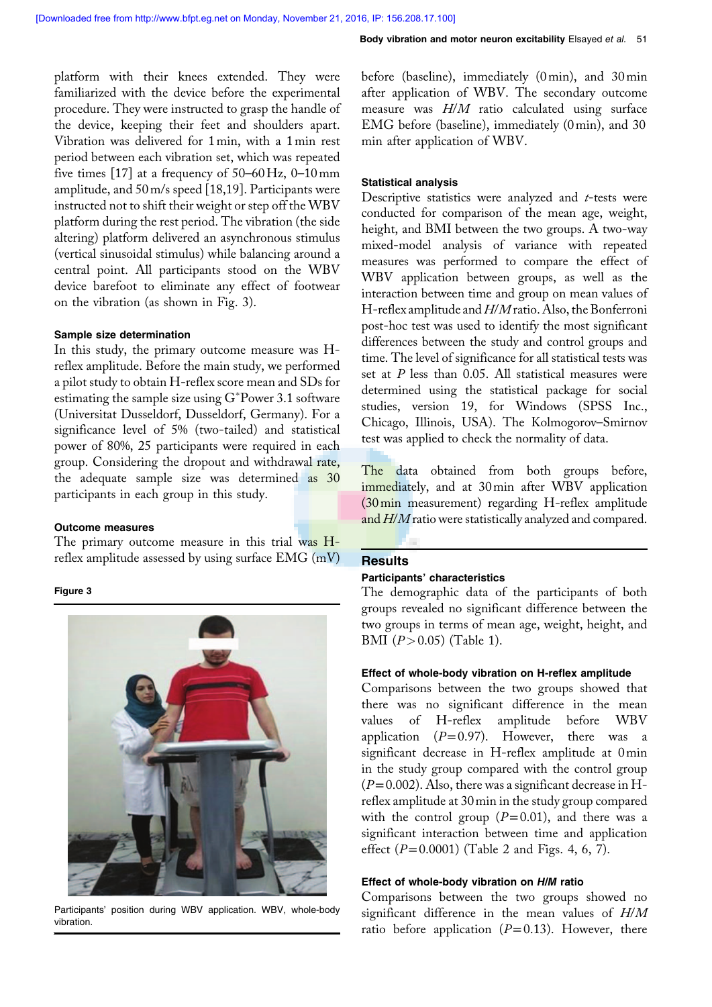platform with their knees extended. They were familiarized with the device before the experimental procedure. They were instructed to grasp the handle of the device, keeping their feet and shoulders apart. Vibration was delivered for 1min, with a 1min rest period between each vibration set, which was repeated five times  $[17]$  at a frequency of 50–60 Hz, 0–10 mm amplitude, and 50m/s speed [18,19]. Participants were instructed not to shift their weight or step off the WBV platform during the rest period. The vibration (the side altering) platform delivered an asynchronous stimulus (vertical sinusoidal stimulus) while balancing around a central point. All participants stood on the WBV device barefoot to eliminate any effect of footwear on the vibration (as shown in Fig. 3).

## Sample size determination

In this study, the primary outcome measure was Hreflex amplitude. Before the main study, we performed a pilot study to obtain H-reflex score mean and SDs for estimating the sample size using G Power 3.1 software (Universitat Dusseldorf, Dusseldorf, Germany). For a significance level of 5% (two-tailed) and statistical power of 80%, 25 participants were required in each group. Considering the dropout and withdrawal rate, the adequate sample size was determined as 30 participants in each group in this study.

## Outcome measures

The primary outcome measure in this trial was Hreflex amplitude assessed by using surface  $EMG$  (mV)

## Figure 3



Participants' position during WBV application. WBV, whole-body vibration.

before (baseline), immediately (0min), and 30min after application of WBV. The secondary outcome measure was H/M ratio calculated using surface EMG before (baseline), immediately (0min), and 30 min after application of WBV.

## Statistical analysis

Descriptive statistics were analyzed and  $t$ -tests were conducted for comparison of the mean age, weight, height, and BMI between the two groups. A two-way mixed-model analysis of variance with repeated measures was performed to compare the effect of WBV application between groups, as well as the interaction between time and group on mean values of H-reflex amplitude and  $H/M$  ratio. Also, the Bonferroni post-hoc test was used to identify the most significant differences between the study and control groups and time. The level of significance for all statistical tests was set at  $P$  less than 0.05. All statistical measures were determined using the statistical package for social studies, version 19, for Windows (SPSS Inc., Chicago, Illinois, USA). The Kolmogorov–Smirnov test was applied to check the normality of data.

The data obtained from both groups before, immediately, and at 30min after WBV application (30min measurement) regarding H-reflex amplitude and H/M ratio were statistically analyzed and compared.

## **Results**

#### Participants' characteristics

The demographic data of the participants of both groups revealed no significant difference between the two groups in terms of mean age, weight, height, and BMI  $(P > 0.05)$  (Table 1).

## Effect of whole-body vibration on H-reflex amplitude

Comparisons between the two groups showed that there was no significant difference in the mean values of H-reflex amplitude before WBV application  $(P=0.97)$ . However, there was a significant decrease in H-reflex amplitude at 0min in the study group compared with the control group  $(P=0.002)$ . Also, there was a significant decrease in Hreflex amplitude at 30min in the study group compared with the control group  $(P=0.01)$ , and there was a significant interaction between time and application effect  $(P=0.0001)$  (Table 2 and Figs. 4, 6, 7).

## Effect of whole-body vibration on H/M ratio

Comparisons between the two groups showed no significant difference in the mean values of H/M ratio before application  $(P=0.13)$ . However, there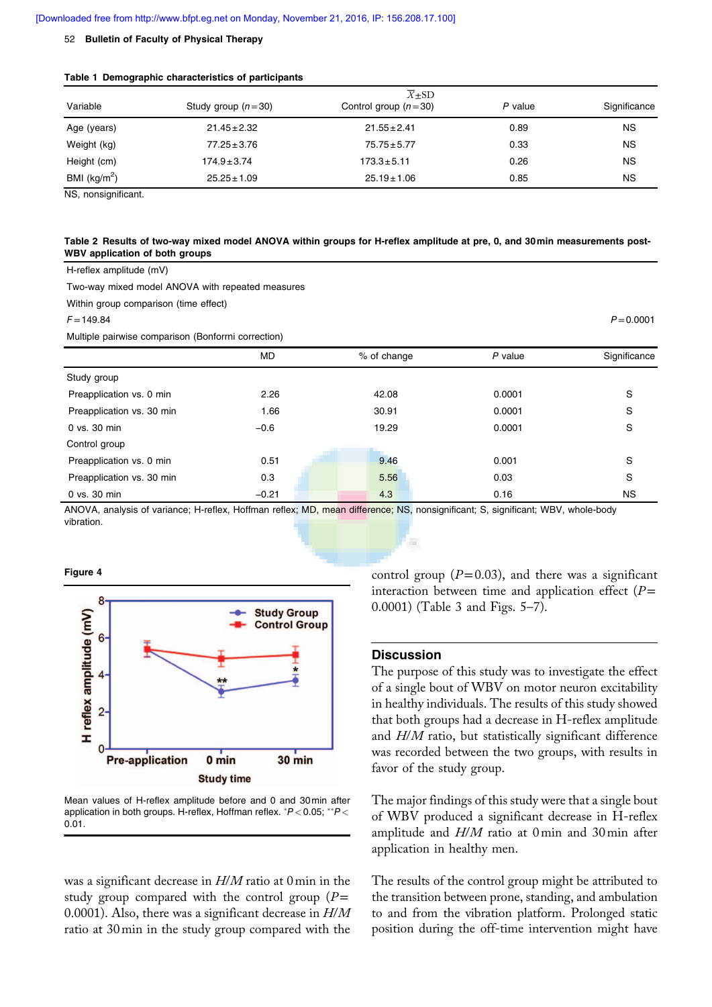#### 52 Bulletin of Faculty of Physical Therapy

|  |  | Table 1 Demographic characteristics of participants |  |  |
|--|--|-----------------------------------------------------|--|--|
|--|--|-----------------------------------------------------|--|--|

|                 |                      | $\overline{X}$ ±SD     |         |              |
|-----------------|----------------------|------------------------|---------|--------------|
| Variable        | Study group $(n=30)$ | Control group $(n=30)$ | P value | Significance |
| Age (years)     | $21.45 \pm 2.32$     | $21.55 \pm 2.41$       | 0.89    | <b>NS</b>    |
| Weight (kg)     | $77.25 \pm 3.76$     | $75.75 \pm 5.77$       | 0.33    | <b>NS</b>    |
| Height (cm)     | $174.9 \pm 3.74$     | $173.3 \pm 5.11$       | 0.26    | <b>NS</b>    |
| BMI ( $kg/m2$ ) | $25.25 \pm 1.09$     | $25.19 \pm 1.06$       | 0.85    | <b>NS</b>    |

NS, nonsignificant.

## Table 2 Results of two-way mixed model ANOVA within groups for H-reflex amplitude at pre, 0, and 30min measurements post-WBV application of both groups

H-reflex amplitude (mV)

Two-way mixed model ANOVA with repeated measures

Within group comparison (time effect)

 $F=149.84$   $P=0.0001$ 

Multiple pairwise comparison (Bonforrni correction)

|                           | MD.     | % of change | P value | Significance |
|---------------------------|---------|-------------|---------|--------------|
| Study group               |         |             |         |              |
| Preapplication vs. 0 min  | 2.26    | 42.08       | 0.0001  | S            |
| Preapplication vs. 30 min | 1.66    | 30.91       | 0.0001  | S            |
| $0$ vs. $30$ min          | $-0.6$  | 19.29       | 0.0001  | S            |
| Control group             |         |             |         |              |
| Preapplication vs. 0 min  | 0.51    | 9.46        | 0.001   | S            |
| Preapplication vs. 30 min | 0.3     | 5.56        | 0.03    | S            |
| 0 vs. 30 min              | $-0.21$ | 4.3         | 0.16    | NS.          |

ANOVA, analysis of variance; H-reflex, Hoffman reflex; MD, mean difference; NS, nonsignificant; S, significant; WBV, whole-body vibration.

## Figure 4



Mean values of H-reflex amplitude before and 0 and 30min after application in both groups. H-reflex, Hoffman reflex.  $*P < 0.05; **P <$ 0.01.

was a significant decrease in  $H/M$  ratio at 0 min in the study group compared with the control group  $(P=$ 0.0001). Also, there was a significant decrease in  $H/M$ ratio at 30min in the study group compared with the

control group  $(P=0.03)$ , and there was a significant interaction between time and application effect  $(P=$ 0.0001) (Table 3 and Figs. 5–7).

## **Discussion**

i.

The purpose of this study was to investigate the effect of a single bout of WBV on motor neuron excitability in healthy individuals. The results of this study showed that both groups had a decrease in H-reflex amplitude and H/M ratio, but statistically significant difference was recorded between the two groups, with results in favor of the study group.

The major findings of this study were that a single bout of WBV produced a significant decrease in H-reflex amplitude and H/M ratio at 0min and 30min after application in healthy men.

The results of the control group might be attributed to the transition between prone, standing, and ambulation to and from the vibration platform. Prolonged static position during the off-time intervention might have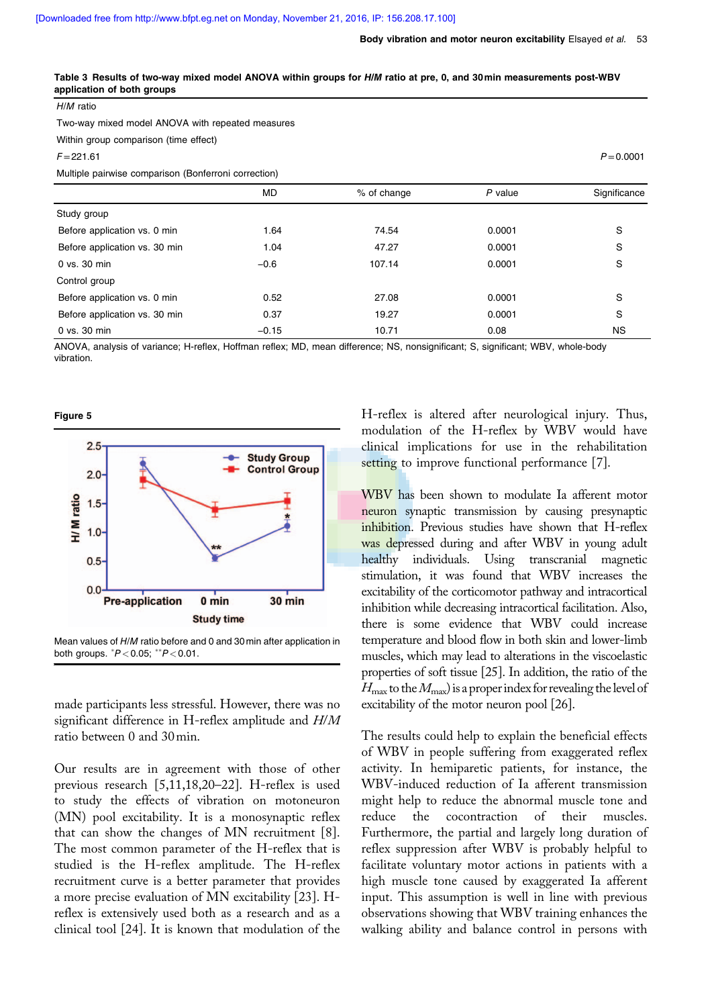Two-way mixed model ANOVA with repeated measures

| Within group comparison (time effect)                |           |             |         |              |  |
|------------------------------------------------------|-----------|-------------|---------|--------------|--|
| $F = 221.61$                                         |           |             |         | $P = 0.0001$ |  |
| Multiple pairwise comparison (Bonferroni correction) |           |             |         |              |  |
|                                                      | <b>MD</b> | % of change | P value | Significance |  |
| Study group                                          |           |             |         |              |  |
| Before application vs. 0 min                         | 1.64      | 74.54       | 0.0001  | S            |  |
| Before application vs. 30 min                        | 1.04      | 47.27       | 0.0001  | S            |  |
| 0 vs. 30 min                                         | $-0.6$    | 107.14      | 0.0001  | S            |  |
| Control group                                        |           |             |         |              |  |
| Before application vs. 0 min                         | 0.52      | 27.08       | 0.0001  | S            |  |
| Before application vs. 30 min                        | 0.37      | 19.27       | 0.0001  | S            |  |
| 0 vs. 30 min                                         | $-0.15$   | 10.71       | 0.08    | NS.          |  |

Table 3 Results of two-way mixed model ANOVA within groups for H/M ratio at pre, 0, and 30min measurements post-WBV application of both groups

ANOVA, analysis of variance; H-reflex, Hoffman reflex; MD, mean difference; NS, nonsignificant; S, significant; WBV, whole-body vibration.

#### Figure 5

H/M ratio



Mean values of H/M ratio before and 0 and 30min after application in both groups.  $^{*}P$  < 0.05;  $^{**}P$  < 0.01.

made participants less stressful. However, there was no significant difference in H-reflex amplitude and H/M ratio between 0 and 30min.

Our results are in agreement with those of other previous research [5,11,18,20–22]. H-reflex is used to study the effects of vibration on motoneuron (MN) pool excitability. It is a monosynaptic reflex that can show the changes of MN recruitment [8]. The most common parameter of the H-reflex that is studied is the H-reflex amplitude. The H-reflex recruitment curve is a better parameter that provides a more precise evaluation of MN excitability [23]. Hreflex is extensively used both as a research and as a clinical tool [24]. It is known that modulation of the H-reflex is altered after neurological injury. Thus, modulation of the H-reflex by WBV would have clinical implications for use in the rehabilitation setting to improve functional performance [7].

WBV has been shown to modulate Ia afferent motor neuron synaptic transmission by causing presynaptic inhibition. Previous studies have shown that H-reflex was depressed during and after WBV in young adult healthy individuals. Using transcranial magnetic stimulation, it was found that WBV increases the excitability of the corticomotor pathway and intracortical inhibition while decreasing intracortical facilitation. Also, there is some evidence that WBV could increase temperature and blood flow in both skin and lower-limb muscles, which may lead to alterations in the viscoelastic properties of soft tissue [25]. In addition, the ratio of the  $H_{\text{max}}$  to the  $M_{\text{max}}$ ) is a proper index for revealing the level of excitability of the motor neuron pool [26].

The results could help to explain the beneficial effects of WBV in people suffering from exaggerated reflex activity. In hemiparetic patients, for instance, the WBV-induced reduction of Ia afferent transmission might help to reduce the abnormal muscle tone and reduce the cocontraction of their muscles. Furthermore, the partial and largely long duration of reflex suppression after WBV is probably helpful to facilitate voluntary motor actions in patients with a high muscle tone caused by exaggerated Ia afferent input. This assumption is well in line with previous observations showing that WBV training enhances the walking ability and balance control in persons with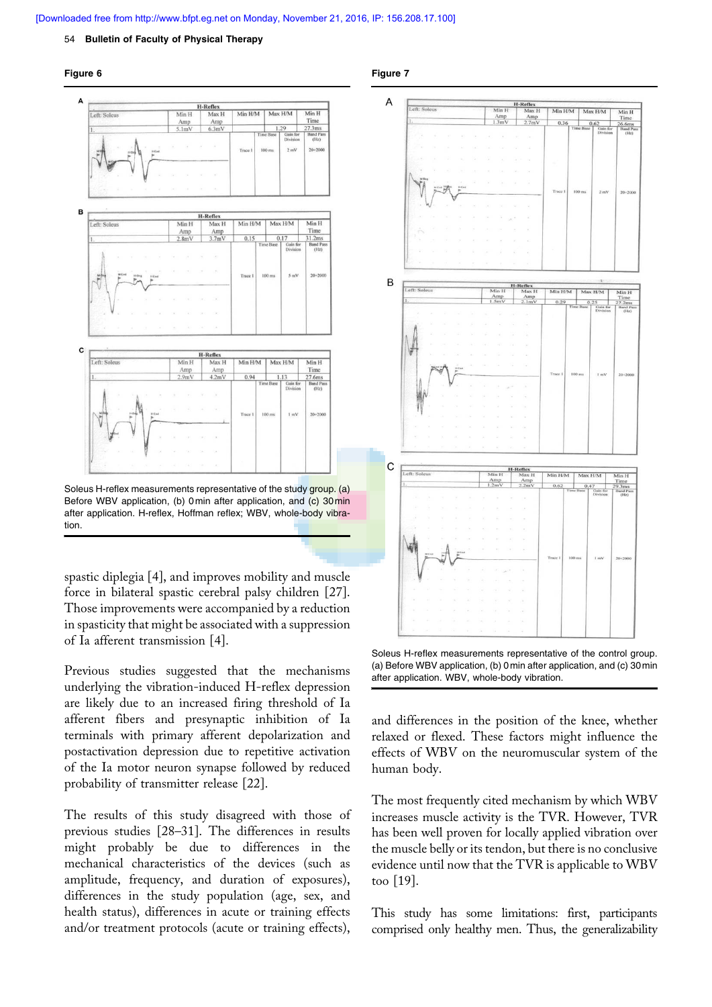## **[Downloaded free from http://www.bfpt.eg.net on Monday, November 21, 2016, IP: 156.208.17.100]**

#### 54 Bulletin of Faculty of Physical Therapy





Soleus H-reflex measurements representative of the study group. (a) Before WBV application, (b) 0min after application, and (c) 30min after application. H-reflex, Hoffman reflex; WBV, whole-body vibration.

spastic diplegia [4], and improves mobility and muscle force in bilateral spastic cerebral palsy children [27]. Those improvements were accompanied by a reduction in spasticity that might be associated with a suppression of Ia afferent transmission [4].

Previous studies suggested that the mechanisms underlying the vibration-induced H-reflex depression are likely due to an increased firing threshold of Ia afferent fibers and presynaptic inhibition of Ia terminals with primary afferent depolarization and postactivation depression due to repetitive activation of the Ia motor neuron synapse followed by reduced probability of transmitter release [22].

The results of this study disagreed with those of previous studies [28–31]. The differences in results might probably be due to differences in the mechanical characteristics of the devices (such as amplitude, frequency, and duration of exposures), differences in the study population (age, sex, and health status), differences in acute or training effects and/or treatment protocols (acute or training effects),





Soleus H-reflex measurements representative of the control group. (a) Before WBV application, (b) 0min after application, and (c) 30min after application. WBV, whole-body vibration.

and differences in the position of the knee, whether relaxed or flexed. These factors might influence the effects of WBV on the neuromuscular system of the human body.

The most frequently cited mechanism by which WBV increases muscle activity is the TVR. However, TVR has been well proven for locally applied vibration over the muscle belly or its tendon, but there is no conclusive evidence until now that the TVR is applicable to WBV too [19].

This study has some limitations: first, participants comprised only healthy men. Thus, the generalizability